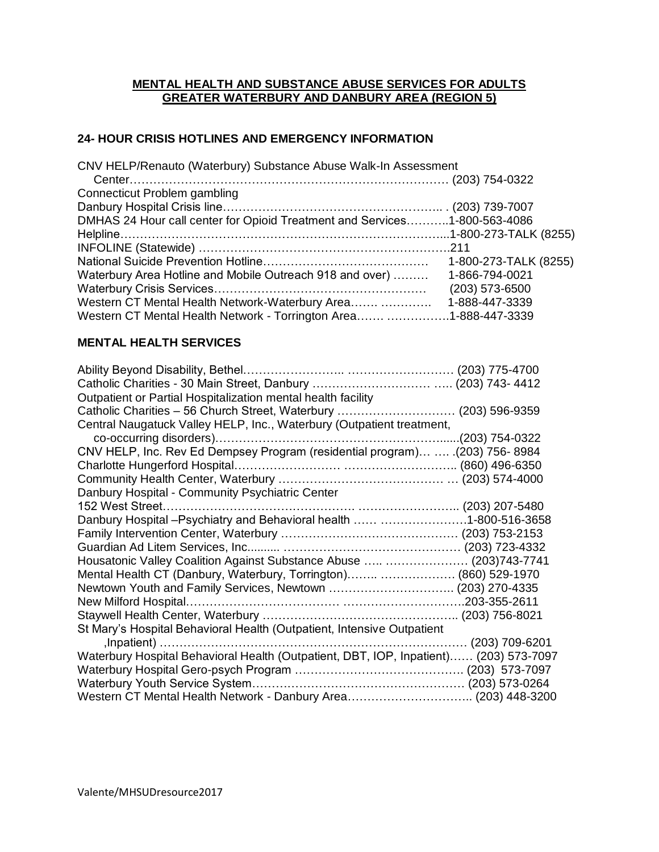### **MENTAL HEALTH AND SUBSTANCE ABUSE SERVICES FOR ADULTS GREATER WATERBURY AND DANBURY AREA (REGION 5)**

### **24- HOUR CRISIS HOTLINES AND EMERGENCY INFORMATION**

CNV HELP/Renauto (Waterbury) Substance Abuse Walk-In Assessment

| DMHAS 24 Hour call center for Opioid Treatment and Services1-800-563-4086 |
|---------------------------------------------------------------------------|
|                                                                           |
|                                                                           |
| 1-800-273-TALK (8255)                                                     |
| Waterbury Area Hotline and Mobile Outreach 918 and over)  1-866-794-0021  |
| $(203)$ 573-6500                                                          |
| Western CT Mental Health Network-Waterbury Area  1-888-447-3339           |
| Western CT Mental Health Network - Torrington Area 1-888-447-3339         |
|                                                                           |

### **MENTAL HEALTH SERVICES**

| CNV HELP, Inc. Rev Ed Dempsey Program (residential program)  .(203) 756-8984          |
|---------------------------------------------------------------------------------------|
|                                                                                       |
|                                                                                       |
|                                                                                       |
|                                                                                       |
| Danbury Hospital - Psychiatry and Behavioral health  1-800-516-3658                   |
|                                                                                       |
|                                                                                       |
| Housatonic Valley Coalition Against Substance Abuse   (203)743-7741                   |
| Mental Health CT (Danbury, Waterbury, Torrington)  (860) 529-1970                     |
| Newtown Youth and Family Services, Newtown  (203) 270-4335                            |
|                                                                                       |
|                                                                                       |
|                                                                                       |
|                                                                                       |
| Waterbury Hospital Behavioral Health (Outpatient, DBT, IOP, Inpatient) (203) 573-7097 |
|                                                                                       |
|                                                                                       |
| Western CT Mental Health Network - Danbury Area (203) 448-3200                        |
|                                                                                       |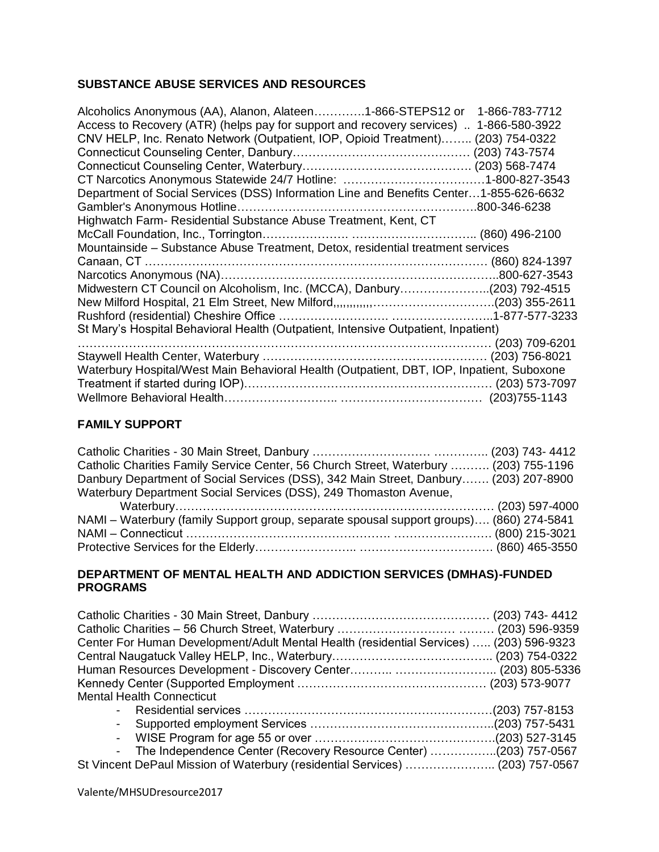## **SUBSTANCE ABUSE SERVICES AND RESOURCES**

| Access to Recovery (ATR) (helps pay for support and recovery services)  1-866-580-3922<br>CNV HELP, Inc. Renato Network (Outpatient, IOP, Opioid Treatment) (203) 754-0322<br>Department of Social Services (DSS) Information Line and Benefits Center1-855-626-6632<br>Highwatch Farm- Residential Substance Abuse Treatment, Kent, CT |
|-----------------------------------------------------------------------------------------------------------------------------------------------------------------------------------------------------------------------------------------------------------------------------------------------------------------------------------------|
|                                                                                                                                                                                                                                                                                                                                         |
|                                                                                                                                                                                                                                                                                                                                         |
|                                                                                                                                                                                                                                                                                                                                         |
|                                                                                                                                                                                                                                                                                                                                         |
|                                                                                                                                                                                                                                                                                                                                         |
|                                                                                                                                                                                                                                                                                                                                         |
|                                                                                                                                                                                                                                                                                                                                         |
|                                                                                                                                                                                                                                                                                                                                         |
|                                                                                                                                                                                                                                                                                                                                         |
| Mountainside - Substance Abuse Treatment, Detox, residential treatment services                                                                                                                                                                                                                                                         |
|                                                                                                                                                                                                                                                                                                                                         |
|                                                                                                                                                                                                                                                                                                                                         |
| Midwestern CT Council on Alcoholism, Inc. (MCCA), Danbury(203) 792-4515                                                                                                                                                                                                                                                                 |
|                                                                                                                                                                                                                                                                                                                                         |
|                                                                                                                                                                                                                                                                                                                                         |
| St Mary's Hospital Behavioral Health (Outpatient, Intensive Outpatient, Inpatient)                                                                                                                                                                                                                                                      |
|                                                                                                                                                                                                                                                                                                                                         |
|                                                                                                                                                                                                                                                                                                                                         |
| Waterbury Hospital/West Main Behavioral Health (Outpatient, DBT, IOP, Inpatient, Suboxone                                                                                                                                                                                                                                               |
|                                                                                                                                                                                                                                                                                                                                         |
|                                                                                                                                                                                                                                                                                                                                         |

### **FAMILY SUPPORT**

| Catholic Charities Family Service Center, 56 Church Street, Waterbury  (203) 755-1196   |  |
|-----------------------------------------------------------------------------------------|--|
| Danbury Department of Social Services (DSS), 342 Main Street, Danbury (203) 207-8900    |  |
| Waterbury Department Social Services (DSS), 249 Thomaston Avenue,                       |  |
|                                                                                         |  |
|                                                                                         |  |
| NAMI – Waterbury (family Support group, separate spousal support groups) (860) 274-5841 |  |
|                                                                                         |  |

### **DEPARTMENT OF MENTAL HEALTH AND ADDICTION SERVICES (DMHAS)-FUNDED PROGRAMS**

| Center For Human Development/Adult Mental Health (residential Services)  (203) 596-9323 |  |
|-----------------------------------------------------------------------------------------|--|
|                                                                                         |  |
|                                                                                         |  |
|                                                                                         |  |
| <b>Mental Health Connecticut</b>                                                        |  |
|                                                                                         |  |
| $\blacksquare$                                                                          |  |
| $\overline{\phantom{a}}$                                                                |  |
| The Independence Center (Recovery Resource Center) (203) 757-0567<br>$\blacksquare$     |  |
| St Vincent DePaul Mission of Waterbury (residential Services)  (203) 757-0567           |  |